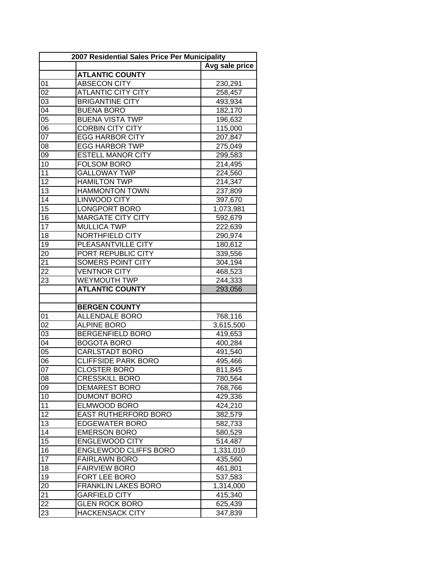|                 | 2007 Residential Sales Price Per Municipality |                      |
|-----------------|-----------------------------------------------|----------------------|
|                 |                                               | Avg sale price       |
|                 | <b>ATLANTIC COUNTY</b>                        |                      |
| 01              | <b>ABSECON CITY</b>                           | 230,291              |
| 02              | <b>ATLANTIC CITY CITY</b>                     | 258,457              |
| 03              | <b>BRIGANTINE CITY</b>                        | 493,934              |
| 04              | <b>BUENA BORO</b>                             | 182,170              |
| 05              | <b>BUENA VISTA TWP</b>                        | 196,632              |
| 06              | <b>CORBIN CITY CITY</b>                       | 115,000              |
| 07              | <b>EGG HARBOR CITY</b>                        | 207,847              |
| 08              | <b>EGG HARBOR TWP</b>                         | 275,049              |
| 09              | <b>ESTELL MANOR CITY</b>                      | 299,583              |
| 10              | <b>FOLSOM BORO</b>                            | 214,495              |
| 11              | <b>GALLOWAY TWP</b>                           | 224,560              |
| 12              | <b>HAMILTON TWP</b>                           | 214,347              |
| 13              | <b>HAMMONTON TOWN</b>                         | 237,809              |
| 14              | <b>LINWOOD CITY</b>                           | 397,670              |
| 15              | <b>LONGPORT BORO</b>                          | 1,073,981            |
| 16              | <b>MARGATE CITY CITY</b>                      | 592,679              |
| 17              | <b>MULLICA TWP</b>                            | 222,639              |
| 18              | NORTHFIELD CITY                               | 290,974              |
| 19              | PLEASANTVILLE CITY                            | 180,612              |
| 20              | PORT REPUBLIC CITY                            | 339,556              |
| 21              | SOMERS POINT CITY                             |                      |
| 22              |                                               | 304,194              |
|                 | <b>VENTNOR CITY</b>                           | 468,523              |
| 23              | <b>WEYMOUTH TWP</b>                           | 244,333              |
|                 | <b>ATLANTIC COUNTY</b>                        | 293,056              |
|                 | <b>BERGEN COUNTY</b>                          |                      |
|                 | <b>ALLENDALE BORO</b>                         |                      |
| 01<br>02        | <b>ALPINE BORO</b>                            | 768,116              |
| $0\overline{3}$ | <b>BERGENFIELD BORO</b>                       | 3,615,500<br>419,653 |
| 04              |                                               |                      |
|                 | <b>BOGOTA BORO</b><br><b>CARLSTADT BORO</b>   | 400,284              |
| 05              |                                               | 491,540              |
| 06              | <b>CLIFFSIDE PARK BORO</b>                    | 495,466              |
| 07              | <b>CLOSTER BORO</b>                           | 811,845              |
| 08              | CRESSKILL BORO                                | 780,564              |
| 09              | DEMAREST BORO                                 | 768,766              |
| 10              | <b>DUMONT BORO</b>                            | 429,336              |
| 11              | <b>ELMWOOD BORO</b>                           | 424,210              |
| 12              | EAST RUTHERFORD BORO                          | 382,579              |
| 13              | <b>EDGEWATER BORO</b>                         | 582,733              |
| 14              | <b>EMERSON BORO</b>                           | 580,529              |
| 15              | <b>ENGLEWOOD CITY</b>                         | 514,487              |
| 16              | <b>ENGLEWOOD CLIFFS BORO</b>                  | 1,331,010            |
| 17              | <b>FAIRLAWN BORO</b>                          | 435,560              |
| 18              | <b>FAIRVIEW BORO</b>                          | 461,801              |
| 19              | FORT LEE BORO                                 | 537,583              |
| 20              | <b>FRANKLIN LAKES BORO</b>                    | 1,314,000            |
| 21              | <b>GARFIELD CITY</b>                          | 415,340              |
| 22              | <b>GLEN ROCK BORO</b>                         | 625,439              |
| 23              | <b>HACKENSACK CITY</b>                        | 347,839              |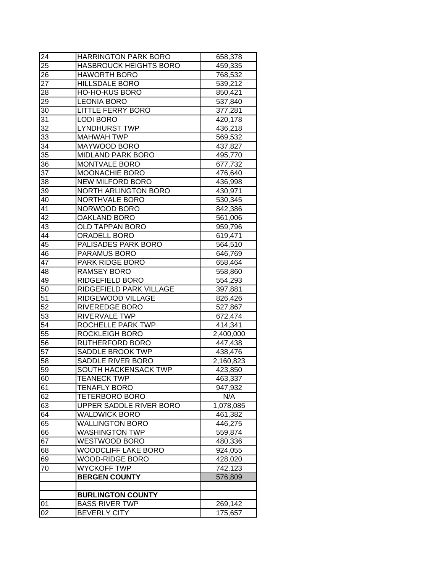| 24              | <b>HARRINGTON PARK BORO</b>   | 658,378   |
|-----------------|-------------------------------|-----------|
| 25              | <b>HASBROUCK HEIGHTS BORO</b> | 459,335   |
| 26              | <b>HAWORTH BORO</b>           | 768,532   |
| 27              | <b>HILLSDALE BORO</b>         | 539,212   |
| 28              | <b>HO-HO-KUS BORO</b>         | 850,421   |
| 29              | <b>LEONIA BORO</b>            | 537,840   |
| 30              | <b>LITTLE FERRY BORO</b>      | 377,281   |
| 31              | <b>LODI BORO</b>              | 420,178   |
| 32              | <b>LYNDHURST TWP</b>          | 436,218   |
| 33              | <b>MAHWAH TWP</b>             | 569,532   |
| 34              | MAYWOOD BORO                  | 437,827   |
| $3\overline{5}$ | <b>MIDLAND PARK BORO</b>      | 495,770   |
| 36              | MONTVALE BORO                 | 677,732   |
| 37              | MOONACHIE BORO                | 476,640   |
| 38              | <b>NEW MILFORD BORO</b>       | 436,998   |
| 39              | <b>NORTH ARLINGTON BORO</b>   | 430,971   |
| 40              | NORTHVALE BORO                | 530,345   |
| 41              | NORWOOD BORO                  | 842,386   |
| 42              | <b>OAKLAND BORO</b>           | 561,006   |
| 43              | OLD TAPPAN BORO               | 959,796   |
| 44              | ORADELL BORO                  | 619,471   |
| 45              | PALISADES PARK BORO           | 564,510   |
| 46              | PARAMUS BORO                  | 646,769   |
| 47              | PARK RIDGE BORO               | 658,464   |
| 48              | <b>RAMSEY BORO</b>            | 558,860   |
| 49              | RIDGEFIELD BORO               | 554,293   |
| 50              | RIDGEFIELD PARK VILLAGE       | 397,881   |
| 51              | RIDGEWOOD VILLAGE             | 826,426   |
| $\overline{52}$ | <b>RIVEREDGE BORO</b>         | 527,867   |
| 53              | RIVERVALE TWP                 | 672,474   |
| 54              | ROCHELLE PARK TWP             | 414,341   |
| $\overline{55}$ | <b>ROCKLEIGH BORO</b>         | 2,400,000 |
| 56              | RUTHERFORD BORO               | 447,438   |
| 57              | SADDLE BROOK TWP              | 438,476   |
| 58              | SADDLE RIVER BORO             | 2,160,823 |
| 59              | SOUTH HACKENSACK TWP          | 423,850   |
| 60              | <b>TEANECK TWP</b>            | 463,337   |
| 61              | TENAFLY BORO                  | 947,932   |
| 62              | TETERBORO BORO                | N/A       |
| 63              | UPPER SADDLE RIVER BORO       | 1,078,085 |
| 64              | <b>WALDWICK BORO</b>          | 461,382   |
| 65              | <b>WALLINGTON BORO</b>        | 446,275   |
| 66              | <b>WASHINGTON TWP</b>         | 559,874   |
| 67              | WESTWOOD BORO                 | 480,336   |
| 68              | WOODCLIFF LAKE BORO           | 924,055   |
| 69              | WOOD-RIDGE BORO               | 428,020   |
| 70              | <b>WYCKOFF TWP</b>            | 742,123   |
|                 | <b>BERGEN COUNTY</b>          | 576,809   |
|                 |                               |           |
|                 | <b>BURLINGTON COUNTY</b>      |           |
| 01              | <b>BASS RIVER TWP</b>         | 269,142   |
| 02              | <b>BEVERLY CITY</b>           | 175,657   |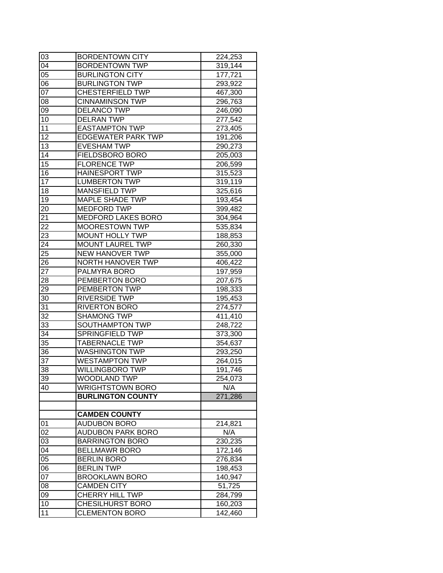| 03 | <b>BORDENTOWN CITY</b>    | 224,253 |
|----|---------------------------|---------|
| 04 | <b>BORDENTOWN TWP</b>     | 319,144 |
| 05 | <b>BURLINGTON CITY</b>    | 177,721 |
| 06 | <b>BURLINGTON TWP</b>     | 293,922 |
| 07 | <b>CHESTERFIELD TWP</b>   | 467,300 |
| 08 | <b>CINNAMINSON TWP</b>    | 296,763 |
| 09 | <b>DELANCO TWP</b>        | 246,090 |
| 10 | <b>DELRAN TWP</b>         | 277,542 |
| 11 | <b>EASTAMPTON TWP</b>     | 273,405 |
| 12 | <b>EDGEWATER PARK TWP</b> | 191,206 |
| 13 | <b>EVESHAM TWP</b>        | 290,273 |
| 14 | FIELDSBORO BORO           | 205,003 |
| 15 | <b>FLORENCE TWP</b>       | 206,599 |
| 16 | <b>HAINESPORT TWP</b>     | 315,523 |
| 17 | <b>LUMBERTON TWP</b>      | 319,119 |
| 18 | <b>MANSFIELD TWP</b>      | 325,616 |
| 19 | <b>MAPLE SHADE TWP</b>    | 193,454 |
| 20 | <b>MEDFORD TWP</b>        | 399,482 |
| 21 | <b>MEDFORD LAKES BORO</b> | 304,964 |
| 22 | <b>MOORESTOWN TWP</b>     | 535,834 |
| 23 | <b>MOUNT HOLLY TWP</b>    | 188,853 |
| 24 | <b>MOUNT LAUREL TWP</b>   | 260,330 |
| 25 | NEW HANOVER TWP           | 355,000 |
| 26 | <b>NORTH HANOVER TWP</b>  | 406,422 |
| 27 | PALMYRA BORO              | 197,959 |
| 28 | PEMBERTON BORO            | 207,675 |
| 29 | PEMBERTON TWP             | 198,333 |
| 30 | <b>RIVERSIDE TWP</b>      | 195,453 |
| 31 | <b>RIVERTON BORO</b>      | 274,577 |
| 32 | <b>SHAMONG TWP</b>        | 411,410 |
| 33 | <b>SOUTHAMPTON TWP</b>    | 248,722 |
| 34 | SPRINGFIELD TWP           | 373,300 |
| 35 | <b>TABERNACLE TWP</b>     | 354,637 |
| 36 | <b>WASHINGTON TWP</b>     | 293,250 |
| 37 | <b>WESTAMPTON TWP</b>     | 264,015 |
| 38 | <b>WILLINGBORO TWP</b>    | 191,746 |
| 39 | <b>WOODLAND TWP</b>       | 254,073 |
| 40 | <b>WRIGHTSTOWN BORO</b>   | N/A     |
|    | <b>BURLINGTON COUNTY</b>  | 271,286 |
|    |                           |         |
|    | <b>CAMDEN COUNTY</b>      |         |
| 01 | <b>AUDUBON BORO</b>       | 214,821 |
| 02 | <b>AUDUBON PARK BORO</b>  | N/A     |
| 03 | <b>BARRINGTON BORO</b>    | 230,235 |
| 04 | <b>BELLMAWR BORO</b>      | 172,146 |
| 05 | <b>BERLIN BORO</b>        | 276,834 |
| 06 | <b>BERLIN TWP</b>         | 198,453 |
| 07 | <b>BROOKLAWN BORO</b>     | 140,947 |
| 08 | <b>CAMDEN CITY</b>        | 51,725  |
| 09 | CHERRY HILL TWP           | 284,799 |
| 10 | CHESILHURST BORO          | 160,203 |
| 11 | <b>CLEMENTON BORO</b>     | 142,460 |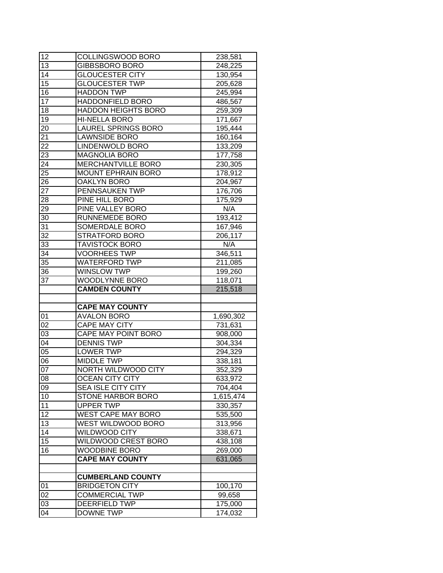| 12              | COLLINGSWOOD BORO          | 238,581            |
|-----------------|----------------------------|--------------------|
| 13              | <b>GIBBSBORO BORO</b>      | 248,225            |
| 14              | <b>GLOUCESTER CITY</b>     | 130,954            |
| $\overline{15}$ | <b>GLOUCESTER TWP</b>      | 205,628            |
| $\overline{16}$ | <b>HADDON TWP</b>          | 245,994            |
| 17              | <b>HADDONFIELD BORO</b>    | 486,567            |
| 18              | <b>HADDON HEIGHTS BORO</b> | 259,309            |
| 19              | HI-NELLA BORO              | 171,667            |
| 20              | <b>LAUREL SPRINGS BORO</b> | 195,444            |
| 21              | <b>LAWNSIDE BORO</b>       | 160,164            |
| 22              | <b>LINDENWOLD BORO</b>     | 133,209            |
| 23              | MAGNOLIA BORO              | 177,758            |
| $2\overline{4}$ | MERCHANTVILLE BORO         | 230,305            |
| 25              | <b>MOUNT EPHRAIN BORO</b>  | 178,912            |
| 26              | OAKLYN BORO                | 204,967            |
| 27              | PENNSAUKEN TWP             | 176,706            |
| 28              | PINE HILL BORO             | 175,929            |
| 29              | PINE VALLEY BORO           | N/A                |
| 30              | <b>RUNNEMEDE BORO</b>      | 193,412            |
| 31              | SOMERDALE BORO             | 167,946            |
| 32              | <b>STRATFORD BORO</b>      | 206,117            |
| 33              | <b>TAVISTOCK BORO</b>      | N/A                |
| 34              | <b>VOORHEES TWP</b>        | 346,511            |
| 35              | <b>WATERFORD TWP</b>       | 211,085            |
| 36              | <b>WINSLOW TWP</b>         | 199,260            |
| 37              | WOODLYNNE BORO             | 118,071            |
|                 |                            |                    |
|                 |                            |                    |
|                 | <b>CAMDEN COUNTY</b>       | 215,518            |
|                 | <b>CAPE MAY COUNTY</b>     |                    |
| 01              | <b>AVALON BORO</b>         | 1,690,302          |
| $0\overline{2}$ | <b>CAPE MAY CITY</b>       | 731,631            |
| 03              | <b>CAPE MAY POINT BORO</b> | 908,000            |
| 04              | <b>DENNIS TWP</b>          | 304,334            |
| $0\overline{5}$ | <b>LOWER TWP</b>           | 294,329            |
| 06              | <b>MIDDLE TWP</b>          | 338,181            |
| 07              | NORTH WILDWOOD CITY        | 352,329            |
| 08              | <b>OCEAN CITY CITY</b>     | 633,972            |
| 09              | <b>SEA ISLE CITY CITY</b>  | 704,404            |
| 10              | <b>STONE HARBOR BORO</b>   | 1,615,474          |
| 11              | UPPER TWP                  | 330,357            |
| 12              | <b>WEST CAPE MAY BORO</b>  | 535,500            |
| 13              | WEST WILDWOOD BORO         | 313,956            |
| 14              | <b>WILDWOOD CITY</b>       | 338,671            |
| 15              | <b>WILDWOOD CREST BORO</b> | 438,108            |
| 16              | <b>WOODBINE BORO</b>       | 269,000            |
|                 | <b>CAPE MAY COUNTY</b>     | 631,065            |
|                 |                            |                    |
|                 | <b>CUMBERLAND COUNTY</b>   |                    |
| 01              | <b>BRIDGETON CITY</b>      | 100,170            |
| 02              | <b>COMMERCIAL TWP</b>      | 99,658             |
| 03              | <b>DEERFIELD TWP</b>       | 175,000<br>174,032 |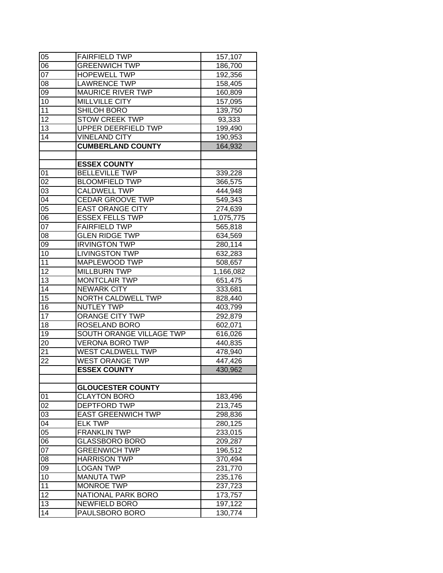| 05 | <b>FAIRFIELD TWP</b>            | 157,107   |
|----|---------------------------------|-----------|
| 06 | <b>GREENWICH TWP</b>            | 186,700   |
| 07 | <b>HOPEWELL TWP</b>             | 192,356   |
| 08 | LAWRENCE TWP                    | 158,405   |
| 09 | <b>MAURICE RIVER TWP</b>        | 160,809   |
| 10 | <b>MILLVILLE CITY</b>           | 157,095   |
| 11 | SHILOH BORO                     | 139,750   |
| 12 | <b>STOW CREEK TWP</b>           | 93,333    |
| 13 | UPPER DEERFIELD TWP             | 199,490   |
| 14 | <b>VINELAND CITY</b>            | 190,953   |
|    | <b>CUMBERLAND COUNTY</b>        | 164,932   |
|    |                                 |           |
|    | <b>ESSEX COUNTY</b>             |           |
| 01 | <b>BELLEVILLE TWP</b>           | 339,228   |
| 02 | <b>BLOOMFIELD TWP</b>           | 366,575   |
| 03 | <b>CALDWELL TWP</b>             | 444,948   |
| 04 | CEDAR GROOVE TWP                | 549,343   |
| 05 | <b>EAST ORANGE CITY</b>         | 274,639   |
| 06 | <b>ESSEX FELLS TWP</b>          | 1,075,775 |
| 07 | <b>FAIRFIELD TWP</b>            | 565,818   |
| 08 | <b>GLEN RIDGE TWP</b>           | 634,569   |
| 09 | <b>IRVINGTON TWP</b>            | 280,114   |
| 10 | <b>LIVINGSTON TWP</b>           | 632,283   |
| 11 | MAPLEWOOD TWP                   | 508,657   |
| 12 | <b>MILLBURN TWP</b>             | 1,166,082 |
| 13 | <b>MONTCLAIR TWP</b>            | 651,475   |
| 14 | <b>NEWARK CITY</b>              | 333,681   |
| 15 | <b>NORTH CALDWELL TWP</b>       | 828,440   |
| 16 | <b>NUTLEY TWP</b>               | 403,799   |
| 17 | <b>ORANGE CITY TWP</b>          | 292,879   |
| 18 | <b>ROSELAND BORO</b>            | 602,071   |
| 19 | <b>SOUTH ORANGE VILLAGE TWP</b> | 616,026   |
| 20 | <b>VERONA BORO TWP</b>          | 440,835   |
| 21 | <b>WEST CALDWELL TWP</b>        | 478,940   |
| 22 | <b>WEST ORANGE TWP</b>          | 447,426   |
|    | <b>ESSEX COUNTY</b>             | 430,962   |
|    |                                 |           |
|    | <b>GLOUCESTER COUNTY</b>        |           |
| 01 | <b>CLAYTON BORO</b>             | 183,496   |
| 02 | DEPTFORD TWP                    | 213,745   |
| 03 | <b>EAST GREENWICH TWP</b>       | 298,836   |
| 04 | <b>ELK TWP</b>                  | 280,125   |
| 05 | <b>FRANKLIN TWP</b>             | 233,015   |
| 06 | <b>GLASSBORO BORO</b>           | 209,287   |
| 07 | <b>GREENWICH TWP</b>            | 196,512   |
| 08 | <b>HARRISON TWP</b>             | 370,494   |
| 09 | <b>LOGAN TWP</b>                | 231,770   |
| 10 | <b>MANUTA TWP</b>               | 235,176   |
| 11 | <b>MONROE TWP</b>               | 237,723   |
| 12 | NATIONAL PARK BORO              | 173,757   |
| 13 | <b>NEWFIELD BORO</b>            | 197,122   |
| 14 | PAULSBORO BORO                  | 130,774   |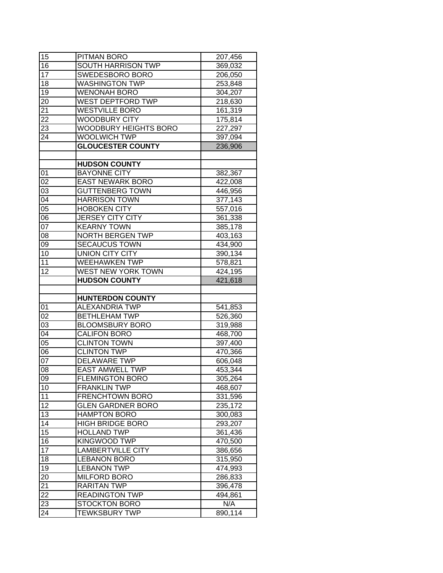| 15              | PITMAN BORO                                  | 207,456        |
|-----------------|----------------------------------------------|----------------|
| 16              | <b>SOUTH HARRISON TWP</b>                    | 369,032        |
| $1\overline{7}$ | SWEDESBORO BORO                              | 206,050        |
| 18              | <b>WASHINGTON TWP</b>                        | 253,848        |
| 19              | <b>WENONAH BORO</b>                          | 304,207        |
| 20              | WEST DEPTFORD TWP                            | 218,630        |
| 21              | <b>WESTVILLE BORO</b>                        | 161,319        |
| 22              | <b>WOODBURY CITY</b>                         | 175,814        |
| 23              | <b>WOODBURY HEIGHTS BORO</b>                 | 227,297        |
| 24              | WOOLWICH TWP                                 | 397,094        |
|                 | <b>GLOUCESTER COUNTY</b>                     | 236,906        |
|                 |                                              |                |
|                 | <b>HUDSON COUNTY</b>                         |                |
| 01              | <b>BAYONNE CITY</b>                          | 382,367        |
| 02              | <b>EAST NEWARK BORO</b>                      | 422,008        |
| 03              | <b>GUTTENBERG TOWN</b>                       | 446,956        |
| 04              | <b>HARRISON TOWN</b>                         | 377,143        |
| 05              | <b>HOBOKEN CITY</b>                          | 557,016        |
| 06              | <b>JERSEY CITY CITY</b>                      | 361,338        |
| 07              | <b>KEARNY TOWN</b>                           | 385,178        |
| 08              | <b>NORTH BERGEN TWP</b>                      | 403,163        |
| 09              | <b>SECAUCUS TOWN</b>                         | 434,900        |
| 10              | <b>UNION CITY CITY</b>                       | 390,134        |
| 11              | <b>WEEHAWKEN TWP</b>                         | 578,821        |
| 12              | <b>WEST NEW YORK TOWN</b>                    | 424,195        |
|                 | <b>HUDSON COUNTY</b>                         | 421,618        |
|                 |                                              |                |
|                 |                                              |                |
|                 | <b>HUNTERDON COUNTY</b>                      |                |
| 01              | <b>ALEXANDRIA TWP</b>                        | 541,853        |
| $\overline{02}$ | <b>BETHLEHAM TWP</b>                         | 526,360        |
| 03              | <b>BLOOMSBURY BORO</b>                       | 319,988        |
| 04              | <b>CALIFON BORO</b>                          | 468,700        |
| 05              | <b>CLINTON TOWN</b>                          | 397,400        |
| 06              | <b>CLINTON TWP</b>                           | 470,366        |
| 07              | <b>DELAWARE TWP</b>                          | 606,048        |
| 08              | <b>EAST AMWELL TWP</b>                       | 453,344        |
| 09              | <b>FLEMINGTON BORO</b>                       | 305,264        |
| 10              | <b>FRANKLIN TWP</b>                          | 468,607        |
| 11              | <b>FRENCHTOWN BORO</b>                       | 331,596        |
| 12              | <b>GLEN GARDNER BORO</b>                     | 235,172        |
| 13              | <b>HAMPTON BORO</b>                          | 300,083        |
| 14              | <b>HIGH BRIDGE BORO</b>                      | 293,207        |
| 15              | <b>HOLLAND TWP</b>                           | 361,436        |
| 16              | <b>KINGWOOD TWP</b>                          | 470,500        |
| 17              | <b>LAMBERTVILLE CITY</b>                     | 386,656        |
| 18              | <b>LEBANON BORO</b>                          | 315,950        |
| 19              | <b>LEBANON TWP</b>                           | 474,993        |
| 20              | <b>MILFORD BORO</b>                          | 286,833        |
| 21              | <b>RARITAN TWP</b>                           | 396,478        |
| 22              | <b>READINGTON TWP</b>                        | 494,861        |
| 23<br>24        | <b>STOCKTON BORO</b><br><b>TEWKSBURY TWP</b> | N/A<br>890,114 |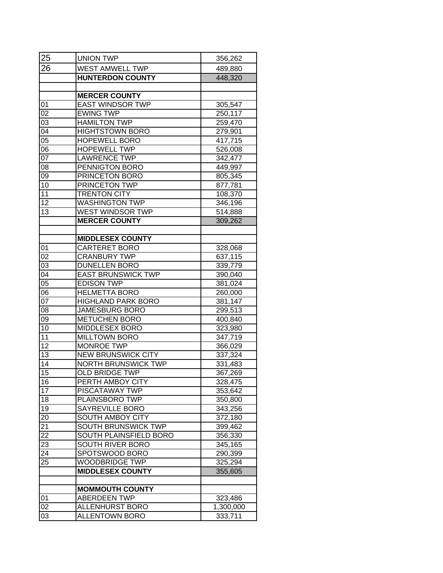| 25              | <b>UNION TWP</b>           | 356,262   |
|-----------------|----------------------------|-----------|
| 26              | <b>WEST AMWELL TWP</b>     | 489,880   |
|                 | <b>HUNTERDON COUNTY</b>    | 448,320   |
|                 |                            |           |
|                 | <b>MERCER COUNTY</b>       |           |
| 01              | <b>EAST WINDSOR TWP</b>    | 305,547   |
| 02              | <b>EWING TWP</b>           | 250,117   |
| 03              | <b>HAMILTON TWP</b>        | 259,470   |
| 04              | <b>HIGHTSTOWN BORO</b>     | 279,901   |
| $0\overline{5}$ | <b>HOPEWELL BORO</b>       | 417,715   |
| 06              | <b>HOPEWELL TWP</b>        | 526,008   |
| $0\overline{7}$ | <b>LAWRENCE TWP</b>        | 342,477   |
| 08              | PENNIGTON BORO             | 449,997   |
| 09              | PRINCETON BORO             | 805,345   |
| 10              | PRINCETON TWP              | 877,781   |
| $\overline{11}$ | <b>TRENTON CITY</b>        | 108,370   |
| $\overline{12}$ | <b>WASHINGTON TWP</b>      | 346,196   |
| $\overline{13}$ | <b>WEST WINDSOR TWP</b>    | 514,888   |
|                 | <b>MERCER COUNTY</b>       | 309,262   |
|                 |                            |           |
|                 | <b>MIDDLESEX COUNTY</b>    |           |
| 01              | <b>CARTERET BORO</b>       | 328,068   |
| 02              | <b>CRANBURY TWP</b>        | 637,115   |
| 0 <sub>3</sub>  | <b>DUNELLEN BORO</b>       | 339,779   |
| 04              | <b>EAST BRUNSWICK TWP</b>  | 390,040   |
| 05              | <b>EDISON TWP</b>          | 381,024   |
| 06              | <b>HELMETTA BORO</b>       | 260,000   |
| 07              | <b>HIGHLAND PARK BORO</b>  | 381,147   |
| 08              | <b>JAMESBURG BORO</b>      | 299,513   |
| 09              | <b>METUCHEN BORO</b>       | 400,840   |
| 10              | <b>MIDDLESEX BORO</b>      | 323,980   |
| 11              | <b>MILLTOWN BORO</b>       | 347,719   |
| 12              | <b>MONROE TWP</b>          | 366,029   |
| $1\overline{3}$ | <b>NEW BRUNSWICK CITY</b>  | 337,324   |
| 14              | <b>NORTH BRUNSWICK TWP</b> | 331,483   |
| $\overline{15}$ | <b>OLD BRIDGE TWP</b>      | 367,269   |
| 16              | PERTH AMBOY CITY           | 328,475   |
| 17              | PISCATAWAY TWP             | 353,642   |
| 18              | PLAINSBORO TWP             | 350,800   |
| 19              | SAYREVILLE BORO            | 343,256   |
| 20              | <b>SOUTH AMBOY CITY</b>    | 372,180   |
| 21              | SOUTH BRUNSWICK TWP        | 399,462   |
| 22              | SOUTH PLAINSFIELD BORO     | 356,330   |
| 23              | SOUTH RIVER BORO           | 345,165   |
| 24              | SPOTSWOOD BORO             | 290,399   |
| 25              | WOODBRIDGE TWP             | 325,294   |
|                 | <b>MIDDLESEX COUNTY</b>    | 355,605   |
|                 |                            |           |
|                 | <b>MOMMOUTH COUNTY</b>     |           |
| 01              | <b>ABERDEEN TWP</b>        | 323,486   |
| 02              | <b>ALLENHURST BORO</b>     | 1,300,000 |
| 03              | <b>ALLENTOWN BORO</b>      | 333,711   |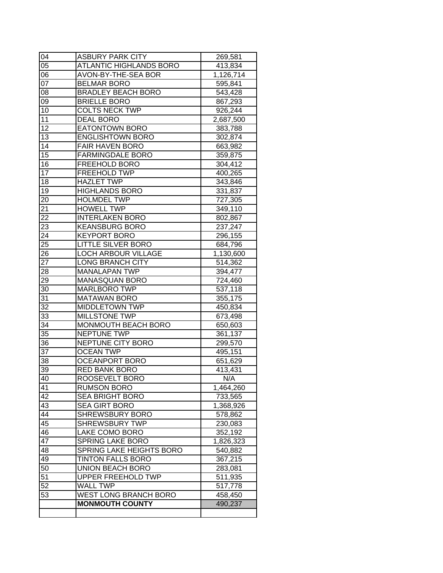| 04              | <b>ASBURY PARK CITY</b>    | 269,581   |
|-----------------|----------------------------|-----------|
| 05              | ATLANTIC HIGHLANDS BORO    | 413,834   |
| 06              | AVON-BY-THE-SEA BOR        | 1,126,714 |
| 07              | <b>BELMAR BORO</b>         | 595,841   |
| 08              | <b>BRADLEY BEACH BORO</b>  | 543,428   |
| 09              | <b>BRIELLE BORO</b>        | 867,293   |
| 10              | <b>COLTS NECK TWP</b>      | 926,244   |
| 11              | <b>DEAL BORO</b>           | 2,687,500 |
| 12              | <b>EATONTOWN BORO</b>      | 383,788   |
| 13              | <b>ENGLISHTOWN BORO</b>    | 302,874   |
| 14              | <b>FAIR HAVEN BORO</b>     | 663,982   |
| 15              | <b>FARMINGDALE BORO</b>    | 359,875   |
| 16              | FREEHOLD BORO              | 304,412   |
| 17              | <b>FREEHOLD TWP</b>        | 400,265   |
| 18              | <b>HAZLET TWP</b>          | 343,846   |
| 19              | <b>HIGHLANDS BORO</b>      | 331,837   |
| 20              | <b>HOLMDEL TWP</b>         | 727,305   |
| 21              | <b>HOWELL TWP</b>          | 349,110   |
| 22              | <b>INTERLAKEN BORO</b>     | 802,867   |
| 23              | <b>KEANSBURG BORO</b>      | 237,247   |
| 24              | <b>KEYPORT BORO</b>        | 296,155   |
| 25              | <b>LITTLE SILVER BORO</b>  | 684,796   |
| 26              | <b>LOCH ARBOUR VILLAGE</b> | 1,130,600 |
| 27              | <b>LONG BRANCH CITY</b>    | 514,362   |
| 28              | <b>MANALAPAN TWP</b>       | 394,477   |
| 29              | <b>MANASQUAN BORO</b>      | 724,460   |
| 30              | <b>MARLBORO TWP</b>        | 537,118   |
| 31              | <b>MATAWAN BORO</b>        | 355,175   |
| $\overline{32}$ | <b>MIDDLETOWN TWP</b>      | 450,834   |
| 33              | <b>MILLSTONE TWP</b>       | 673,498   |
| 34              | <b>MONMOUTH BEACH BORO</b> | 650,603   |
| 35              | NEPTUNE TWP                | 361,137   |
| 36              | NEPTUNE CITY BORO          | 299,570   |
| 37              | <b>OCEAN TWP</b>           | 495,151   |
| 38              | <b>OCEANPORT BORO</b>      | 651,629   |
| 39              | RED BANK BORO              | 413,431   |
| 40              | ROOSEVELT BORO             | N/A       |
| 41              | RUMSON BORO                | 1,464,260 |
| 42              | SEA BRIGHT BORO            | 733,565   |
| 43              | SEA GIRT BORO              | 1,368,926 |
| 44              | SHREWSBURY BORO            | 578,862   |
| 45              | <b>SHREWSBURY TWP</b>      | 230,083   |
| 46              | LAKE COMO BORO             | 352,192   |
| 47              | <b>SPRING LAKE BORO</b>    | 1,826,323 |
| 48              | SPRING LAKE HEIGHTS BORO   | 540,882   |
| 49              | TINTON FALLS BORO          | 367,215   |
| 50              | <b>UNION BEACH BORO</b>    | 283,081   |
| 51              | <b>UPPER FREEHOLD TWP</b>  | 511,935   |
| 52              | <b>WALL TWP</b>            | 517,778   |
| 53              | WEST LONG BRANCH BORO      | 458,450   |
|                 | <b>MONMOUTH COUNTY</b>     | 490,237   |
|                 |                            |           |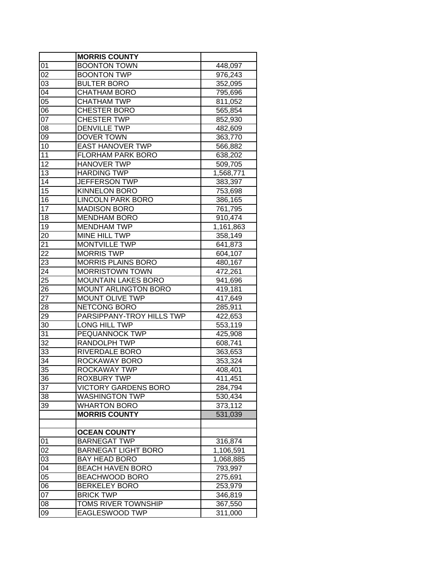|                 | <b>MORRIS COUNTY</b>        |           |
|-----------------|-----------------------------|-----------|
| 01              | <b>BOONTON TOWN</b>         | 448,097   |
| 02              | <b>BOONTON TWP</b>          | 976,243   |
| 03              | <b>BULTER BORO</b>          | 352,095   |
| 04              | <b>CHATHAM BORO</b>         | 795,696   |
| $\overline{05}$ | <b>CHATHAM TWP</b>          | 811,052   |
| 06              | <b>CHESTER BORO</b>         | 565,854   |
| 07              | <b>CHESTER TWP</b>          | 852,930   |
| 08              | <b>DENVILLE TWP</b>         | 482,609   |
| 09              | DOVER TOWN                  | 363,770   |
| 10              | <b>EAST HANOVER TWP</b>     | 566,882   |
| 11              | <b>FLORHAM PARK BORO</b>    | 638,202   |
| 12              | <b>HANOVER TWP</b>          | 509,705   |
| 13              | <b>HARDING TWP</b>          | 1,568,771 |
| 14              | <b>JEFFERSON TWP</b>        | 383,397   |
| 15              | <b>KINNELON BORO</b>        | 753,698   |
| 16              | <b>LINCOLN PARK BORO</b>    | 386,165   |
| 17              | <b>MADISON BORO</b>         | 761,795   |
| 18              | <b>MENDHAM BORO</b>         | 910,474   |
| 19              | <b>MENDHAM TWP</b>          | 1,161,863 |
| 20              | MINE HILL TWP               | 358,149   |
| 21              | <b>MONTVILLE TWP</b>        | 641,873   |
| 22              | <b>MORRIS TWP</b>           | 604,107   |
| 23              | <b>MORRIS PLAINS BORO</b>   | 480,167   |
| 24              | <b>MORRISTOWN TOWN</b>      | 472,261   |
| 25              | <b>MOUNTAIN LAKES BORO</b>  | 941,696   |
| 26              | <b>MOUNT ARLINGTON BORO</b> | 419,181   |
| 27              | <b>MOUNT OLIVE TWP</b>      | 417,649   |
| 28              | <b>NETCONG BORO</b>         | 285,911   |
| 29              | PARSIPPANY-TROY HILLS TWP   | 422,653   |
| 30              | <b>LONG HILL TWP</b>        | 553,119   |
| 31              | PEQUANNOCK TWP              | 425,908   |
| 32              | <b>RANDOLPH TWP</b>         | 608,741   |
| 33              | RIVERDALE BORO              | 363,653   |
| 34              | ROCKAWAY BORO               | 353,324   |
| 35              | <b>ROCKAWAY TWP</b>         | 408,401   |
| 36              | ROXBURY TWP                 | 411,451   |
| 37              | <b>VICTORY GARDENS BORO</b> | 284,794   |
| 38              | <b>WASHINGTON TWP</b>       | 530,434   |
| 39              | WHARTON BORO                | 373,112   |
|                 | <b>MORRIS COUNTY</b>        | 531,039   |
|                 |                             |           |
|                 | <b>OCEAN COUNTY</b>         |           |
| 01              | <b>BARNEGAT TWP</b>         | 316,874   |
| 02              | <b>BARNEGAT LIGHT BORO</b>  | 1,106,591 |
| 03              | <b>BAY HEAD BORO</b>        | 1,068,885 |
| 04              | <b>BEACH HAVEN BORO</b>     | 793,997   |
| 05              | <b>BEACHWOOD BORO</b>       | 275,691   |
| 06              | <b>BERKELEY BORO</b>        | 253,979   |
| 07              | <b>BRICK TWP</b>            | 346,819   |
| 08              | TOMS RIVER TOWNSHIP         | 367,550   |
| 09              | EAGLESWOOD TWP              | 311,000   |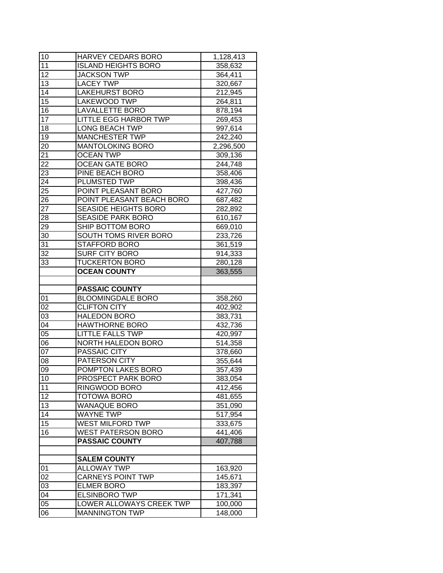| $\overline{1}0$ | HARVEY CEDARS BORO           | 1,128,413          |
|-----------------|------------------------------|--------------------|
| 11              | <b>ISLAND HEIGHTS BORO</b>   | 358,632            |
| $1\overline{2}$ | <b>JACKSON TWP</b>           | 364,411            |
| 13              | <b>LACEY TWP</b>             | 320,667            |
| 14              | <b>LAKEHURST BORO</b>        | 212,945            |
| $\overline{15}$ | LAKEWOOD TWP                 | 264,811            |
| 16              | <b>LAVALLETTE BORO</b>       | 878,194            |
| 17              | <b>LITTLE EGG HARBOR TWP</b> | 269,453            |
| 18              | <b>LONG BEACH TWP</b>        | 997,614            |
| 19              | <b>MANCHESTER TWP</b>        | 242,240            |
| 20              | <b>MANTOLOKING BORO</b>      | 2,296,500          |
| 21              | <b>OCEAN TWP</b>             | 309,136            |
| $\overline{22}$ | <b>OCEAN GATE BORO</b>       | 244,748            |
| 23              | PINE BEACH BORO              | 358,406            |
| 24              | PLUMSTED TWP                 | 398,436            |
| 25              | POINT PLEASANT BORO          | 427,760            |
| $2\overline{6}$ | POINT PLEASANT BEACH BORO    | 687,482            |
| 27              | <b>SEASIDE HEIGHTS BORO</b>  | 282,892            |
| 28              | <b>SEASIDE PARK BORO</b>     | 610,167            |
| 29              | SHIP BOTTOM BORO             | 669,010            |
| 30              | SOUTH TOMS RIVER BORO        | 233,726            |
| 31              | <b>STAFFORD BORO</b>         | 361,519            |
| 32              | <b>SURF CITY BORO</b>        | 914,333            |
| 33              | <b>TUCKERTON BORO</b>        | 280,128            |
|                 | <b>OCEAN COUNTY</b>          | 363,555            |
|                 |                              |                    |
|                 | <b>PASSAIC COUNTY</b>        |                    |
|                 |                              |                    |
| 01              | <b>BLOOMINGDALE BORO</b>     |                    |
| 02              | <b>CLIFTON CITY</b>          | 358,260<br>402,902 |
| 03              | <b>HALEDON BORO</b>          | 383,731            |
| $0\overline{4}$ | <b>HAWTHORNE BORO</b>        | 432,736            |
| $\overline{05}$ | <b>LITTLE FALLS TWP</b>      | 420,997            |
| 06              | <b>NORTH HALEDON BORO</b>    | 514,358            |
| 07              | PASSAIC CITY                 |                    |
| 08              | PATERSON CITY                | 378,660<br>355,644 |
| 09              | POMPTON LAKES BORO           | 357,439            |
| 10              | PROSPECT PARK BORO           |                    |
| 11              | RINGWOOD BORO                | 383,054<br>412,456 |
| 12              | TOTOWA BORO                  | 481,655            |
| 13              | WANAQUE BORO                 | 351,090            |
| 14              | <b>WAYNE TWP</b>             | 517,954            |
| 15              | WEST MILFORD TWP             | 333,675            |
| 16              | <b>WEST PATERSON BORO</b>    | 441,406            |
|                 | <b>PASSAIC COUNTY</b>        | 407,788            |
|                 |                              |                    |
|                 | <b>SALEM COUNTY</b>          |                    |
| 01              | <b>ALLOWAY TWP</b>           | 163,920            |
| 02              | <b>CARNEYS POINT TWP</b>     | 145,671            |
| 03              | <b>ELMER BORO</b>            | 183,397            |
| 04              | <b>ELSINBORO TWP</b>         | 171,341            |
| 05              | LOWER ALLOWAYS CREEK TWP     | 100,000            |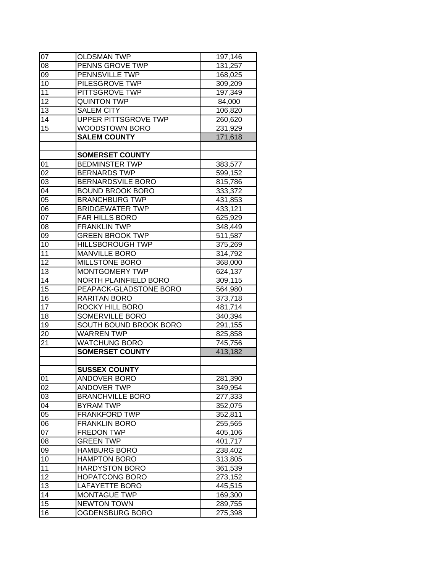| 07              | <b>OLDSMAN TWP</b>           | 197,146 |
|-----------------|------------------------------|---------|
| 08              | PENNS GROVE TWP              | 131,257 |
| 09              | PENNSVILLE TWP               | 168,025 |
| 10              | PILESGROVE TWP               | 309,209 |
| 11              | PITTSGROVE TWP               | 197,349 |
| 12              | <b>QUINTON TWP</b>           | 84,000  |
| $1\overline{3}$ | <b>SALEM CITY</b>            | 106,820 |
| 14              | UPPER PITTSGROVE TWP         | 260,620 |
| 15              | WOODSTOWN BORO               | 231,929 |
|                 | <b>SALEM COUNTY</b>          | 171,618 |
|                 |                              |         |
|                 | <b>SOMERSET COUNTY</b>       |         |
| 01              | <b>BEDMINSTER TWP</b>        | 383,577 |
| 02              | <b>BERNARDS TWP</b>          | 599,152 |
| 03              | <b>BERNARDSVILE BORO</b>     | 815,786 |
| 04              | <b>BOUND BROOK BORO</b>      | 333,372 |
| $\overline{05}$ | <b>BRANCHBURG TWP</b>        | 431,853 |
| 06              | <b>BRIDGEWATER TWP</b>       | 433,121 |
| 07              | <b>FAR HILLS BORO</b>        | 625,929 |
| 08              | <b>FRANKLIN TWP</b>          | 348,449 |
| 09              | <b>GREEN BROOK TWP</b>       | 511,587 |
| 10              | <b>HILLSBOROUGH TWP</b>      | 375,269 |
| 11              | <b>MANVILLE BORO</b>         | 314,792 |
| 12              | MILLSTONE BORO               | 368,000 |
| 13              | MONTGOMERY TWP               | 624,137 |
| 14              | <b>NORTH PLAINFIELD BORO</b> | 309,115 |
| 15              | PEAPACK-GLADSTONE BORO       | 564,980 |
| 16              | RARITAN BORO                 | 373,718 |
| 17              | ROCKY HILL BORO              | 481,714 |
| 18              | <b>SOMERVILLE BORO</b>       | 340,394 |
| 19              | SOUTH BOUND BROOK BORO       | 291,155 |
| 20              | <b>WARREN TWP</b>            | 825,858 |
| 21              | <b>WATCHUNG BORO</b>         | 745,756 |
|                 | <b>SOMERSET COUNTY</b>       | 413,182 |
|                 |                              |         |
|                 | <b>SUSSEX COUNTY</b>         |         |
| 01              | ANDOVER BORO                 | 281,390 |
| 02              | <b>ANDOVER TWP</b>           | 349,954 |
| 03              | <b>BRANCHVILLE BORO</b>      | 277,333 |
| 04              | BYRAM TWP                    | 352,075 |
| 05              | <b>FRANKFORD TWP</b>         | 352,811 |
| 06              | <b>FRANKLIN BORO</b>         | 255,565 |
| 07              | <b>FREDON TWP</b>            | 405,106 |
| 08              | <b>GREEN TWP</b>             | 401,717 |
| 09              | <b>HAMBURG BORO</b>          | 238,402 |
| 10              | <b>HAMPTON BORO</b>          | 313,805 |
| 11              | <b>HARDYSTON BORO</b>        | 361,539 |
| 12              | <b>HOPATCONG BORO</b>        | 273,152 |
| 13              | LAFAYETTE BORO               | 445,515 |
| 14              |                              |         |
|                 | <b>MONTAGUE TWP</b>          | 169,300 |
| 15              | <b>NEWTON TOWN</b>           | 289,755 |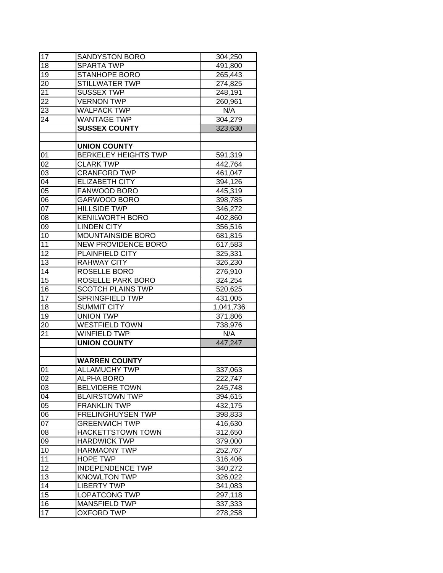| 17                    | SANDYSTON BORO                                 | 304,250            |
|-----------------------|------------------------------------------------|--------------------|
| 18                    | <b>SPARTA TWP</b>                              | 491,800            |
| 19                    | <b>STANHOPE BORO</b>                           | 265,443            |
| 20                    | <b>STILLWATER TWP</b>                          | 274,825            |
| 21                    | <b>SUSSEX TWP</b>                              | 248,191            |
| 22                    | <b>VERNON TWP</b>                              | 260,961            |
| 23                    | <b>WALPACK TWP</b>                             | N/A                |
| 24                    | <b>WANTAGE TWP</b>                             | 304,279            |
|                       | <b>SUSSEX COUNTY</b>                           | 323,630            |
|                       |                                                |                    |
|                       | <b>UNION COUNTY</b>                            |                    |
| 01                    | <b>BERKELEY HEIGHTS TWP</b>                    | 591,319            |
| 02                    | <b>CLARK TWP</b>                               | 442,764            |
| 03                    | <b>CRANFORD TWP</b>                            | 461,047            |
| 04                    | <b>ELIZABETH CITY</b>                          | 394,126            |
| $\overline{05}$       | FANWOOD BORO                                   | 445,319            |
| 06                    | <b>GARWOOD BORO</b>                            | 398,785            |
| 07                    | <b>HILLSIDE TWP</b>                            | 346,272            |
| 08                    | <b>KENILWORTH BORO</b>                         | 402,860            |
| 09                    | <b>LINDEN CITY</b>                             | 356,516            |
| 10                    | <b>MOUNTAINSIDE BORO</b>                       | 681,815            |
| 11                    | <b>NEW PROVIDENCE BORO</b>                     | 617,583            |
| 12                    | PLAINFIELD CITY                                | 325,331            |
| 13                    | <b>RAHWAY CITY</b>                             | 326,230            |
| 14                    | ROSELLE BORO                                   | 276,910            |
| 15                    | ROSELLE PARK BORO                              | 324,254            |
| 16                    | <b>SCOTCH PLAINS TWP</b>                       | 520,625            |
| 17                    | <b>SPRINGFIELD TWP</b>                         | 431,005            |
| 18                    | <b>SUMMIT CITY</b>                             | 1,041,736          |
| $\overline{19}$       | <b>UNION TWP</b>                               | 371,806            |
| 20                    | <b>WESTFIELD TOWN</b>                          |                    |
|                       |                                                |                    |
| 21                    | <b>WINFIELD TWP</b>                            | 738,976<br>N/A     |
|                       |                                                |                    |
|                       | <b>UNION COUNTY</b>                            | 447,247            |
|                       |                                                |                    |
|                       | <b>WARREN COUNTY</b><br><b>ALLAMUCHY TWP</b>   |                    |
| 01                    |                                                | 337,063            |
| $\overline{02}$<br>03 | <b>ALPHA BORO</b>                              | 222,747            |
| 04                    | <b>BELVIDERE TOWN</b><br><b>BLAIRSTOWN TWP</b> | 245,748            |
| 05                    | <b>FRANKLIN TWP</b>                            | 394,615            |
|                       | <b>FRELINGHUYSEN TWP</b>                       | 432,175            |
| 06<br>07              | <b>GREENWICH TWP</b>                           | 398,833            |
| 08                    | <b>HACKETTSTOWN TOWN</b>                       | 416,630<br>312,650 |
| 09                    | <b>HARDWICK TWP</b>                            | 379,000            |
| 10                    | <b>HARMAONY TWP</b>                            | 252,767            |
| 11                    | HOPE TWP                                       | 316,406            |
| 12                    | <b>INDEPENDENCE TWP</b>                        |                    |
| 13                    | <b>KNOWLTON TWP</b>                            | 340,272<br>326,022 |
| 14                    | <b>LIBERTY TWP</b>                             | 341,083            |
| $1\overline{5}$       | LOPATCONG TWP                                  |                    |
| 16                    | MANSFIELD TWP                                  | 297,118<br>337,333 |